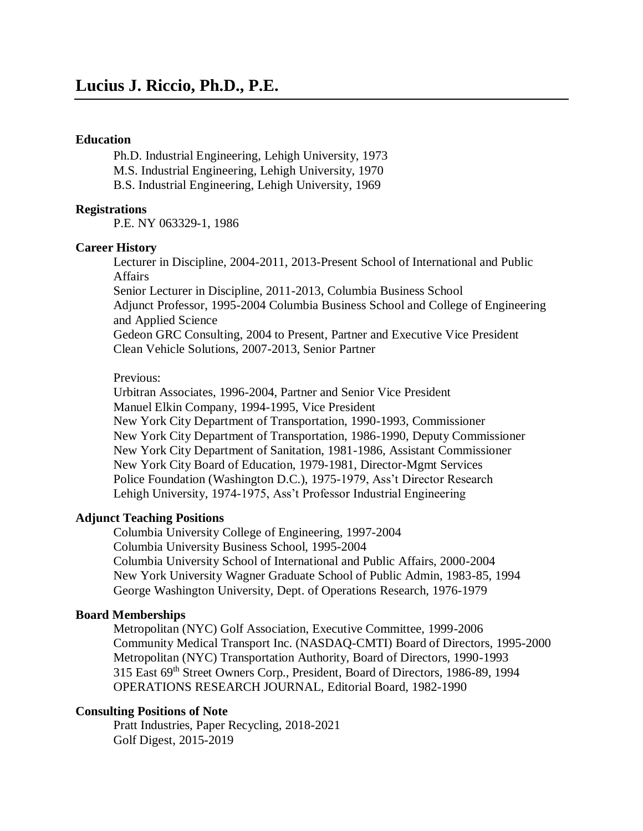#### **Education**

Ph.D. Industrial Engineering, Lehigh University, 1973 M.S. Industrial Engineering, Lehigh University, 1970 B.S. Industrial Engineering, Lehigh University, 1969

#### **Registrations**

P.E. NY 063329-1, 1986

#### **Career History**

Lecturer in Discipline, 2004-2011, 2013-Present School of International and Public Affairs

Senior Lecturer in Discipline, 2011-2013, Columbia Business School Adjunct Professor, 1995-2004 Columbia Business School and College of Engineering and Applied Science

Gedeon GRC Consulting, 2004 to Present, Partner and Executive Vice President Clean Vehicle Solutions, 2007-2013, Senior Partner

#### Previous:

Urbitran Associates, 1996-2004, Partner and Senior Vice President Manuel Elkin Company, 1994-1995, Vice President New York City Department of Transportation, 1990-1993, Commissioner New York City Department of Transportation, 1986-1990, Deputy Commissioner New York City Department of Sanitation, 1981-1986, Assistant Commissioner New York City Board of Education, 1979-1981, Director-Mgmt Services Police Foundation (Washington D.C.), 1975-1979, Ass't Director Research Lehigh University, 1974-1975, Ass't Professor Industrial Engineering

#### **Adjunct Teaching Positions**

Columbia University College of Engineering, 1997-2004 Columbia University Business School, 1995-2004 Columbia University School of International and Public Affairs, 2000-2004 New York University Wagner Graduate School of Public Admin, 1983-85, 1994 George Washington University, Dept. of Operations Research, 1976-1979

#### **Board Memberships**

Metropolitan (NYC) Golf Association, Executive Committee, 1999-2006 Community Medical Transport Inc. (NASDAQ-CMTI) Board of Directors, 1995-2000 Metropolitan (NYC) Transportation Authority, Board of Directors, 1990-1993 315 East 69th Street Owners Corp., President, Board of Directors, 1986-89, 1994 OPERATIONS RESEARCH JOURNAL, Editorial Board, 1982-1990

#### **Consulting Positions of Note**

Pratt Industries, Paper Recycling, 2018-2021 Golf Digest, 2015-2019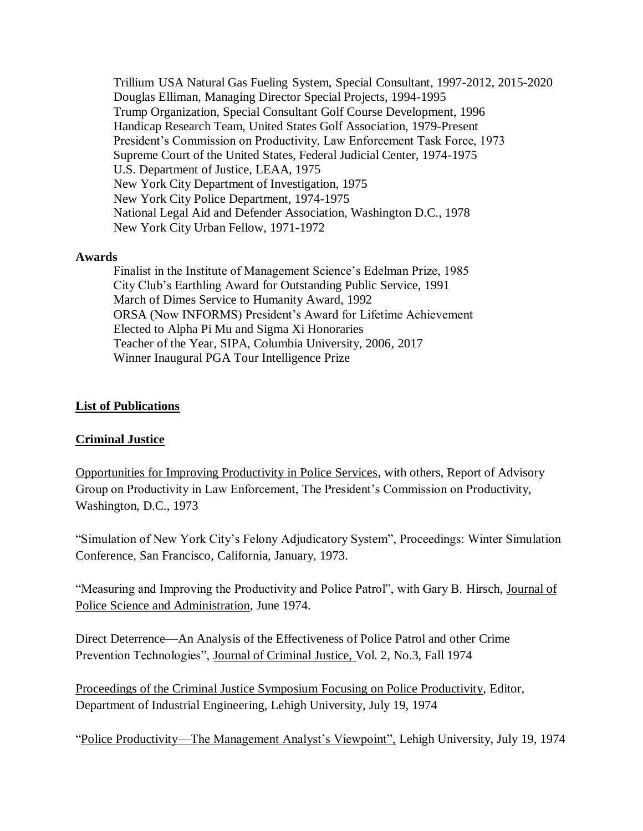Trillium USA Natural Gas Fueling System, Special Consultant, 1997-2012, 2015-2020 Douglas Elliman, Managing Director Special Projects, 1994-1995 Trump Organization, Special Consultant Golf Course Development, 1996 Handicap Research Team, United States Golf Association, 1979-Present President's Commission on Productivity, Law Enforcement Task Force, 1973 Supreme Court of the United States, Federal Judicial Center, 1974-1975 U.S. Department of Justice, LEAA, 1975 New York City Department of Investigation, 1975 New York City Police Department, 1974-1975 National Legal Aid and Defender Association, Washington D.C., 1978 New York City Urban Fellow, 1971-1972

#### **Awards**

Finalist in the Institute of Management Science's Edelman Prize, 1985 City Club's Earthling Award for Outstanding Public Service, 1991 March of Dimes Service to Humanity Award, 1992 ORSA (Now INFORMS) President's Award for Lifetime Achievement Elected to Alpha Pi Mu and Sigma Xi Honoraries Teacher of the Year, SIPA, Columbia University, 2006, 2017 Winner Inaugural PGA Tour Intelligence Prize

#### **List of Publications**

#### **Criminal Justice**

Opportunities for Improving Productivity in Police Services, with others, Report of Advisory Group on Productivity in Law Enforcement, The President's Commission on Productivity, Washington, D.C., 1973

"Simulation of New York City's Felony Adjudicatory System", Proceedings: Winter Simulation Conference, San Francisco, California, January, 1973.

"Measuring and Improving the Productivity and Police Patrol", with Gary B. Hirsch, Journal of Police Science and Administration, June 1974.

Direct Deterrence—An Analysis of the Effectiveness of Police Patrol and other Crime Prevention Technologies", Journal of Criminal Justice, Vol. 2, No.3, Fall 1974

Proceedings of the Criminal Justice Symposium Focusing on Police Productivity, Editor, Department of Industrial Engineering, Lehigh University, July 19, 1974

"Police Productivity—The Management Analyst's Viewpoint", Lehigh University, July 19, 1974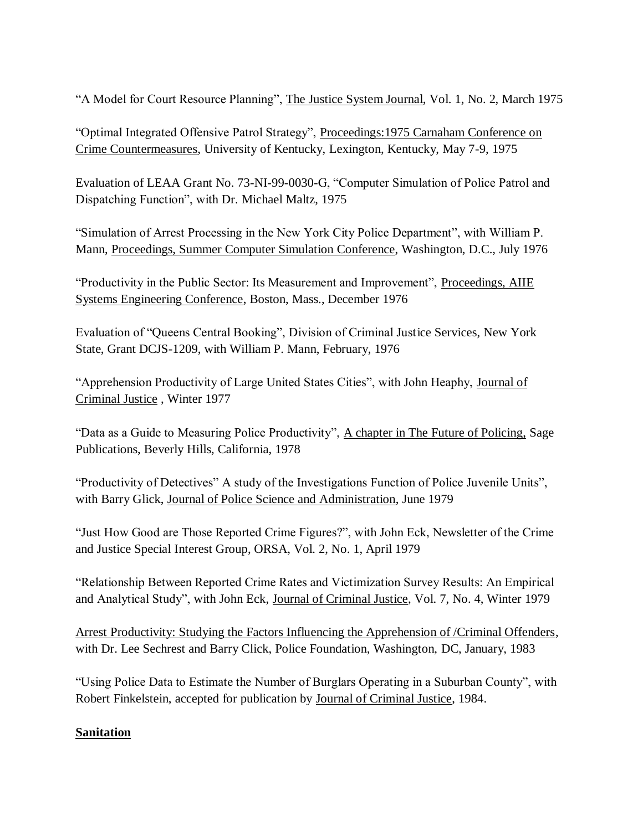"A Model for Court Resource Planning", The Justice System Journal, Vol. 1, No. 2, March 1975

"Optimal Integrated Offensive Patrol Strategy", Proceedings:1975 Carnaham Conference on Crime Countermeasures, University of Kentucky, Lexington, Kentucky, May 7-9, 1975

Evaluation of LEAA Grant No. 73-NI-99-0030-G, "Computer Simulation of Police Patrol and Dispatching Function", with Dr. Michael Maltz, 1975

"Simulation of Arrest Processing in the New York City Police Department", with William P. Mann, Proceedings, Summer Computer Simulation Conference, Washington, D.C., July 1976

"Productivity in the Public Sector: Its Measurement and Improvement", Proceedings, AIIE Systems Engineering Conference, Boston, Mass., December 1976

Evaluation of "Queens Central Booking", Division of Criminal Justice Services, New York State, Grant DCJS-1209, with William P. Mann, February, 1976

"Apprehension Productivity of Large United States Cities", with John Heaphy, Journal of Criminal Justice , Winter 1977

"Data as a Guide to Measuring Police Productivity", A chapter in The Future of Policing, Sage Publications, Beverly Hills, California, 1978

"Productivity of Detectives" A study of the Investigations Function of Police Juvenile Units", with Barry Glick, Journal of Police Science and Administration, June 1979

"Just How Good are Those Reported Crime Figures?", with John Eck, Newsletter of the Crime and Justice Special Interest Group, ORSA, Vol. 2, No. 1, April 1979

"Relationship Between Reported Crime Rates and Victimization Survey Results: An Empirical and Analytical Study", with John Eck, Journal of Criminal Justice, Vol. 7, No. 4, Winter 1979

Arrest Productivity: Studying the Factors Influencing the Apprehension of /Criminal Offenders, with Dr. Lee Sechrest and Barry Click, Police Foundation, Washington, DC, January, 1983

"Using Police Data to Estimate the Number of Burglars Operating in a Suburban County", with Robert Finkelstein, accepted for publication by Journal of Criminal Justice, 1984.

# **Sanitation**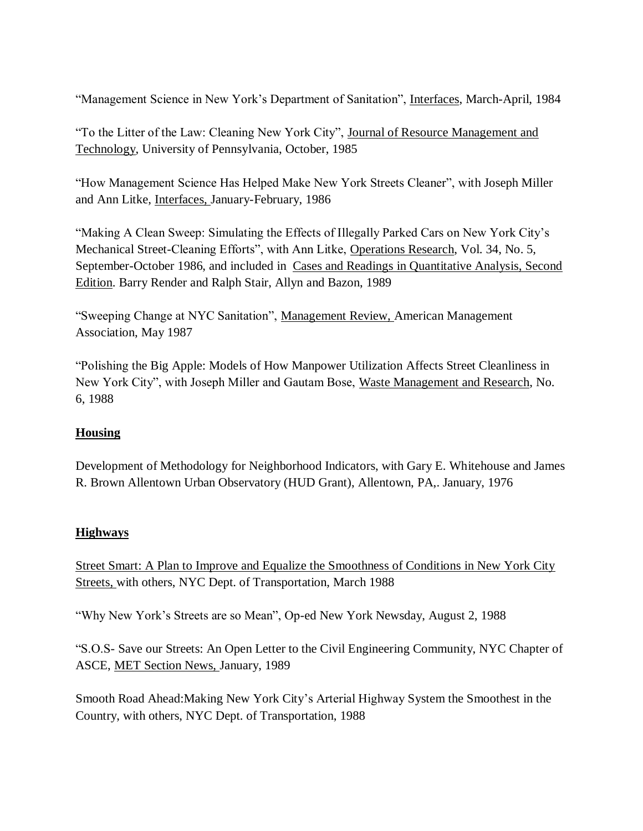"Management Science in New York's Department of Sanitation", Interfaces, March-April, 1984

"To the Litter of the Law: Cleaning New York City", Journal of Resource Management and Technology, University of Pennsylvania, October, 1985

"How Management Science Has Helped Make New York Streets Cleaner", with Joseph Miller and Ann Litke, Interfaces, January-February, 1986

"Making A Clean Sweep: Simulating the Effects of Illegally Parked Cars on New York City's Mechanical Street-Cleaning Efforts", with Ann Litke, Operations Research, Vol. 34, No. 5, September-October 1986, and included in Cases and Readings in Quantitative Analysis, Second Edition. Barry Render and Ralph Stair, Allyn and Bazon, 1989

"Sweeping Change at NYC Sanitation", Management Review, American Management Association, May 1987

"Polishing the Big Apple: Models of How Manpower Utilization Affects Street Cleanliness in New York City", with Joseph Miller and Gautam Bose, Waste Management and Research, No. 6, 1988

# **Housing**

Development of Methodology for Neighborhood Indicators, with Gary E. Whitehouse and James R. Brown Allentown Urban Observatory (HUD Grant), Allentown, PA,. January, 1976

# **Highways**

Street Smart: A Plan to Improve and Equalize the Smoothness of Conditions in New York City Streets, with others, NYC Dept. of Transportation, March 1988

"Why New York's Streets are so Mean", Op-ed New York Newsday, August 2, 1988

"S.O.S- Save our Streets: An Open Letter to the Civil Engineering Community, NYC Chapter of ASCE, MET Section News, January, 1989

Smooth Road Ahead:Making New York City's Arterial Highway System the Smoothest in the Country, with others, NYC Dept. of Transportation, 1988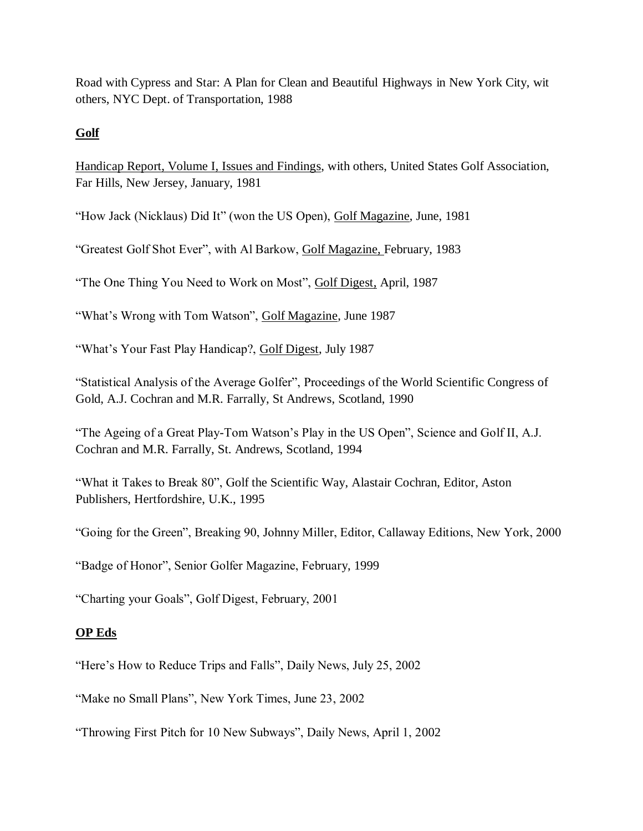Road with Cypress and Star: A Plan for Clean and Beautiful Highways in New York City, wit others, NYC Dept. of Transportation, 1988

### **Golf**

Handicap Report, Volume I, Issues and Findings, with others, United States Golf Association, Far Hills, New Jersey, January, 1981

"How Jack (Nicklaus) Did It" (won the US Open), Golf Magazine, June, 1981

"Greatest Golf Shot Ever", with Al Barkow, Golf Magazine, February, 1983

"The One Thing You Need to Work on Most", Golf Digest, April, 1987

"What's Wrong with Tom Watson", Golf Magazine, June 1987

"What's Your Fast Play Handicap?, Golf Digest, July 1987

"Statistical Analysis of the Average Golfer", Proceedings of the World Scientific Congress of Gold, A.J. Cochran and M.R. Farrally, St Andrews, Scotland, 1990

"The Ageing of a Great Play-Tom Watson's Play in the US Open", Science and Golf II, A.J. Cochran and M.R. Farrally, St. Andrews, Scotland, 1994

"What it Takes to Break 80", Golf the Scientific Way, Alastair Cochran, Editor, Aston Publishers, Hertfordshire, U.K., 1995

"Going for the Green", Breaking 90, Johnny Miller, Editor, Callaway Editions, New York, 2000

"Badge of Honor", Senior Golfer Magazine, February, 1999

"Charting your Goals", Golf Digest, February, 2001

# **OP Eds**

"Here's How to Reduce Trips and Falls", Daily News, July 25, 2002

"Make no Small Plans", New York Times, June 23, 2002

"Throwing First Pitch for 10 New Subways", Daily News, April 1, 2002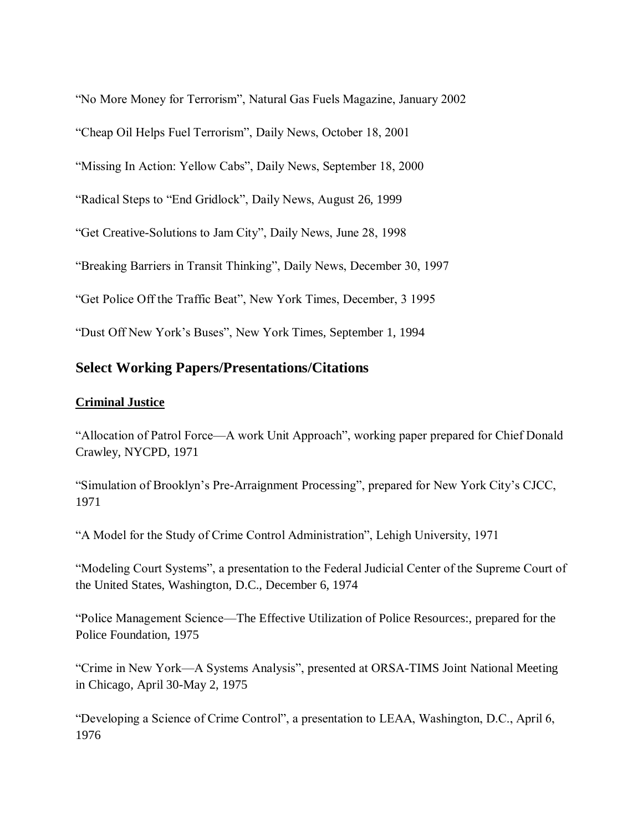"No More Money for Terrorism", Natural Gas Fuels Magazine, January 2002

"Cheap Oil Helps Fuel Terrorism", Daily News, October 18, 2001

"Missing In Action: Yellow Cabs", Daily News, September 18, 2000

"Radical Steps to "End Gridlock", Daily News, August 26, 1999

"Get Creative-Solutions to Jam City", Daily News, June 28, 1998

"Breaking Barriers in Transit Thinking", Daily News, December 30, 1997

"Get Police Off the Traffic Beat", New York Times, December, 3 1995

"Dust Off New York's Buses", New York Times, September 1, 1994

# **Select Working Papers/Presentations/Citations**

#### **Criminal Justice**

"Allocation of Patrol Force—A work Unit Approach", working paper prepared for Chief Donald Crawley, NYCPD, 1971

"Simulation of Brooklyn's Pre-Arraignment Processing", prepared for New York City's CJCC, 1971

"A Model for the Study of Crime Control Administration", Lehigh University, 1971

"Modeling Court Systems", a presentation to the Federal Judicial Center of the Supreme Court of the United States, Washington, D.C., December 6, 1974

"Police Management Science—The Effective Utilization of Police Resources:, prepared for the Police Foundation, 1975

"Crime in New York—A Systems Analysis", presented at ORSA-TIMS Joint National Meeting in Chicago, April 30-May 2, 1975

"Developing a Science of Crime Control", a presentation to LEAA, Washington, D.C., April 6, 1976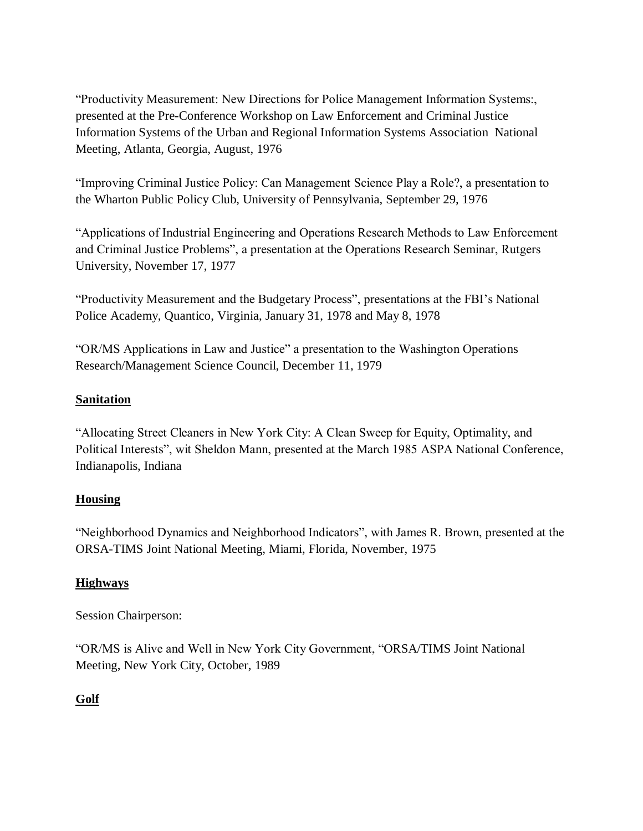"Productivity Measurement: New Directions for Police Management Information Systems:, presented at the Pre-Conference Workshop on Law Enforcement and Criminal Justice Information Systems of the Urban and Regional Information Systems Association National Meeting, Atlanta, Georgia, August, 1976

"Improving Criminal Justice Policy: Can Management Science Play a Role?, a presentation to the Wharton Public Policy Club, University of Pennsylvania, September 29, 1976

"Applications of Industrial Engineering and Operations Research Methods to Law Enforcement and Criminal Justice Problems", a presentation at the Operations Research Seminar, Rutgers University, November 17, 1977

"Productivity Measurement and the Budgetary Process", presentations at the FBI's National Police Academy, Quantico, Virginia, January 31, 1978 and May 8, 1978

"OR/MS Applications in Law and Justice" a presentation to the Washington Operations Research/Management Science Council, December 11, 1979

#### **Sanitation**

"Allocating Street Cleaners in New York City: A Clean Sweep for Equity, Optimality, and Political Interests", wit Sheldon Mann, presented at the March 1985 ASPA National Conference, Indianapolis, Indiana

# **Housing**

"Neighborhood Dynamics and Neighborhood Indicators", with James R. Brown, presented at the ORSA-TIMS Joint National Meeting, Miami, Florida, November, 1975

# **Highways**

Session Chairperson:

"OR/MS is Alive and Well in New York City Government, "ORSA/TIMS Joint National Meeting, New York City, October, 1989

# **Golf**